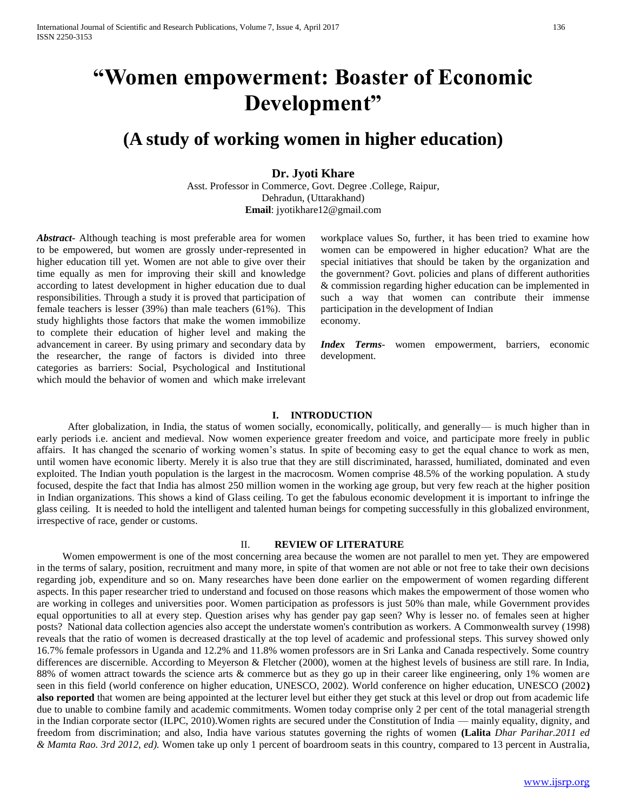# **"Women empowerment: Boaster of Economic Development"**

# **(A study of working women in higher education)**

## **Dr. Jyoti Khare**

Asst. Professor in Commerce, Govt. Degree .College, Raipur, Dehradun, (Uttarakhand) **Email**: jyotikhare12@gmail.com

*Abstract***-** Although teaching is most preferable area for women to be empowered, but women are grossly under-represented in higher education till yet. Women are not able to give over their time equally as men for improving their skill and knowledge according to latest development in higher education due to dual responsibilities. Through a study it is proved that participation of female teachers is lesser (39%) than male teachers (61%). This study highlights those factors that make the women immobilize to complete their education of higher level and making the advancement in career. By using primary and secondary data by the researcher, the range of factors is divided into three categories as barriers: Social, Psychological and Institutional which mould the behavior of women and which make irrelevant

workplace values So, further, it has been tried to examine how women can be empowered in higher education? What are the special initiatives that should be taken by the organization and the government? Govt. policies and plans of different authorities & commission regarding higher education can be implemented in such a way that women can contribute their immense participation in the development of Indian economy.

*Index Terms*- women empowerment, barriers, economic development.

#### **I. INTRODUCTION**

 After globalization, in India, the status of women socially, economically, politically, and generally— is much higher than in early periods i.e. ancient and medieval. Now women experience greater freedom and voice, and participate more freely in public affairs. It has changed the scenario of working women's status. In spite of becoming easy to get the equal chance to work as men, until women have economic liberty. Merely it is also true that they are still discriminated, harassed, humiliated, dominated and even exploited. The Indian youth population is the largest in the macrocosm. Women comprise 48.5% of the working population. A study focused, despite the fact that India has almost 250 million women in the working age group, but very few reach at the higher position in Indian organizations. This shows a kind of Glass ceiling. To get the fabulous economic development it is important to infringe the glass ceiling. It is needed to hold the intelligent and talented human beings for competing successfully in this globalized environment, irrespective of race, gender or customs.

#### II. **REVIEW OF LITERATURE**

 Women empowerment is one of the most concerning area because the women are not parallel to men yet. They are empowered in the terms of salary, position, recruitment and many more, in spite of that women are not able or not free to take their own decisions regarding job, expenditure and so on. Many researches have been done earlier on the empowerment of women regarding different aspects. In this paper researcher tried to understand and focused on those reasons which makes the empowerment of those women who are working in colleges and universities poor. Women participation as professors is just 50% than male, while Government provides equal opportunities to all at every step. Question arises why has gender pay gap seen? Why is lesser no. of females seen at higher posts? National data collection agencies also accept the understate women's contribution as workers. A Commonwealth survey (1998) reveals that the ratio of women is decreased drastically at the top level of academic and professional steps. This survey showed only 16.7% female professors in Uganda and 12.2% and 11.8% women professors are in Sri Lanka and Canada respectively. Some country differences are discernible. According to Meyerson & Fletcher (2000), women at the highest levels of business are still rare. In India, 88% of women attract towards the science arts & commerce but as they go up in their career like engineering, only 1% women are seen in this field (world conference on higher education, UNESCO, 2002). World conference on higher education, UNESCO (2002**) also reported** that women are being appointed at the lecturer level but either they get stuck at this level or drop out from academic life due to unable to combine family and academic commitments. Women today comprise only 2 per cent of the total managerial strength in the Indian corporate sector (ILPC, 2010).Women rights are secured under the Constitution of India — mainly equality, dignity, and freedom from discrimination; and also, India have various statutes governing the rights of women **(Lalita** *Dhar Parihar.2011 ed & Mamta Rao. 3rd 2012, ed).* Women take up only 1 percent of boardroom seats in this country, compared to 13 percent in Australia,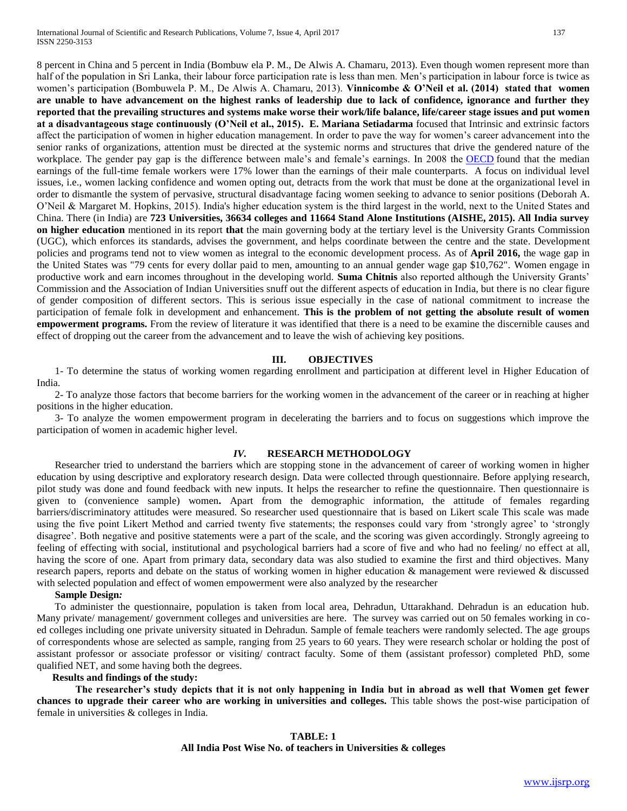8 percent in China and 5 percent in India (Bombuw ela P. M., De Alwis A. Chamaru, 2013). Even though women represent more than half of the population in Sri Lanka, their labour force participation rate is less than men. Men's participation in labour force is twice as women's participation (Bombuwela P. M., De Alwis A. Chamaru, 2013). **Vinnicombe & O'Neil et al. (2014) stated that women are unable to have advancement on the highest ranks of leadership due to lack of confidence, ignorance and further they reported that the prevailing structures and systems make worse their work/life balance, life/career stage issues and put women at a disadvantageous stage continuously (O'Neil et al., 2015). E. Mariana Setiadarma** focused that Intrinsic and extrinsic factors affect the participation of women in higher education management. In order to pave the way for women's career advancement into the senior ranks of organizations, attention must be directed at the systemic norms and structures that drive the gendered nature of the workplace. The gender pay gap is the difference between male's and female's earnings. In 2008 the [OECD](https://en.wikipedia.org/wiki/OECD) found that the median earnings of the full-time female workers were 17% lower than the earnings of their male counterparts. A focus on individual level issues, i.e., women lacking confidence and women opting out, detracts from the work that must be done at the organizational level in order to dismantle the system of pervasive, structural disadvantage facing women seeking to advance to senior positions (Deborah A. O'Neil & Margaret M. Hopkins, 2015). India's higher education system is the third largest in the world, next to the United States and China. There (in India) are **723 Universities, 36634 colleges and 11664 Stand Alone Institutions (AISHE, 2015). All India survey on higher education** mentioned in its report **that** the main governing body at the tertiary level is the University Grants Commission (UGC), which enforces its standards, advises the government, and helps coordinate between the centre and the state. Development policies and programs tend not to view women as integral to the economic development process. As of **April 2016,** the wage gap in the United States was "79 cents for every dollar paid to men, amounting to an annual gender wage gap \$10,762". Women engage in productive work and earn incomes throughout in the developing world. **Suma Chitnis** also reported although the University Grants' Commission and the Association of Indian Universities snuff out the different aspects of education in India, but there is no clear figure of gender composition of different sectors. This is serious issue especially in the case of national commitment to increase the participation of female folk in development and enhancement. **This is the problem of not getting the absolute result of women empowerment programs.** From the review of literature it was identified that there is a need to be examine the discernible causes and effect of dropping out the career from the advancement and to leave the wish of achieving key positions.

#### **III. OBJECTIVES**

 1- To determine the status of working women regarding enrollment and participation at different level in Higher Education of India.

 2- To analyze those factors that become barriers for the working women in the advancement of the career or in reaching at higher positions in the higher education.

 3- To analyze the women empowerment program in decelerating the barriers and to focus on suggestions which improve the participation of women in academic higher level.

#### *IV.* **RESEARCH METHODOLOGY**

 Researcher tried to understand the barriers which are stopping stone in the advancement of career of working women in higher education by using descriptive and exploratory research design. Data were collected through questionnaire. Before applying research, pilot study was done and found feedback with new inputs. It helps the researcher to refine the questionnaire. Then questionnaire is given to (convenience sample) women**.** Apart from the demographic information, the attitude of females regarding barriers/discriminatory attitudes were measured. So researcher used questionnaire that is based on Likert scale This scale was made using the five point Likert Method and carried twenty five statements; the responses could vary from 'strongly agree' to 'strongly disagree'. Both negative and positive statements were a part of the scale, and the scoring was given accordingly. Strongly agreeing to feeling of effecting with social, institutional and psychological barriers had a score of five and who had no feeling/ no effect at all, having the score of one. Apart from primary data, secondary data was also studied to examine the first and third objectives. Many research papers, reports and debate on the status of working women in higher education & management were reviewed & discussed with selected population and effect of women empowerment were also analyzed by the researcher

### **Sample Design***:*

 To administer the questionnaire, population is taken from local area, Dehradun, Uttarakhand. Dehradun is an education hub. Many private/ management/ government colleges and universities are here. The survey was carried out on 50 females working in coed colleges including one private university situated in Dehradun. Sample of female teachers were randomly selected. The age groups of correspondents whose are selected as sample, ranging from 25 years to 60 years. They were research scholar or holding the post of assistant professor or associate professor or visiting/ contract faculty. Some of them (assistant professor) completed PhD, some qualified NET, and some having both the degrees.

#### **Results and findings of the study:**

 **The researcher's study depicts that it is not only happening in India but in abroad as well that Women get fewer chances to upgrade their career who are working in universities and colleges.** This table shows the post-wise participation of female in universities & colleges in India.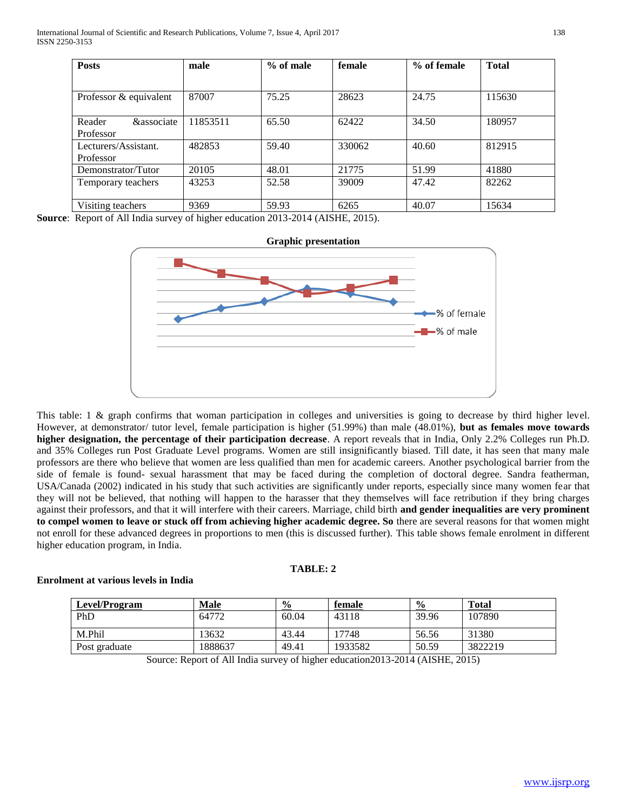| <b>Posts</b>                                 | male         | $%$ of male | female | % of female | <b>Total</b> |
|----------------------------------------------|--------------|-------------|--------|-------------|--------------|
|                                              |              |             |        |             |              |
| Professor & equivalent                       | 87007        | 75.25       | 28623  | 24.75       | 115630       |
| <b>&amp;associate</b><br>Reader<br>Professor | 11853511     | 65.50       | 62422  | 34.50       | 180957       |
| Lecturers/Assistant.<br>Professor            | 482853       | 59.40       | 330062 | 40.60       | 812915       |
| Demonstrator/Tutor                           | 20105        | 48.01       | 21775  | 51.99       | 41880        |
| Temporary teachers                           | 43253        | 52.58       | 39009  | 47.42       | 82262        |
| Visiting teachers                            | 9369<br>---- | 59.93       | 6265   | 40.07       | 15634        |

**Source**: Report of All India survey of higher education 2013-2014 (AISHE, 2015).



This table: 1 & graph confirms that woman participation in colleges and universities is going to decrease by third higher level. However, at demonstrator/ tutor level, female participation is higher (51.99%) than male (48.01%), **but as females move towards higher designation, the percentage of their participation decrease**. A report reveals that in India, Only 2.2% Colleges run Ph.D. and 35% Colleges run Post Graduate Level programs. Women are still insignificantly biased. Till date, it has seen that many male professors are there who believe that women are less qualified than men for academic careers. Another psychological barrier from the side of female is found- sexual harassment that may be faced during the completion of doctoral degree. Sandra featherman, USA/Canada (2002) indicated in his study that such activities are significantly under reports, especially since many women fear that they will not be believed, that nothing will happen to the harasser that they themselves will face retribution if they bring charges against their professors, and that it will interfere with their careers. Marriage, child birth **and gender inequalities are very prominent to compel women to leave or stuck off from achieving higher academic degree. So** there are several reasons for that women might not enroll for these advanced degrees in proportions to men (this is discussed further). This table shows female enrolment in different higher education program, in India.

# **TABLE: 2**

# **Enrolment at various levels in India**

| <b>Level/Program</b> | Male    | $\frac{0}{0}$ | female  | $\frac{6}{9}$ | <b>Total</b> |
|----------------------|---------|---------------|---------|---------------|--------------|
| PhD                  | 64772   | 60.04         | 43118   | 39.96         | 107890       |
| M.Phil               | 13632   | 43.44         | 17748   | 56.56         | 31380        |
| Post graduate        | 1888637 | 49.41         | 1933582 | 50.59         | 3822219      |

Source: Report of All India survey of higher education2013-2014 (AISHE, 2015)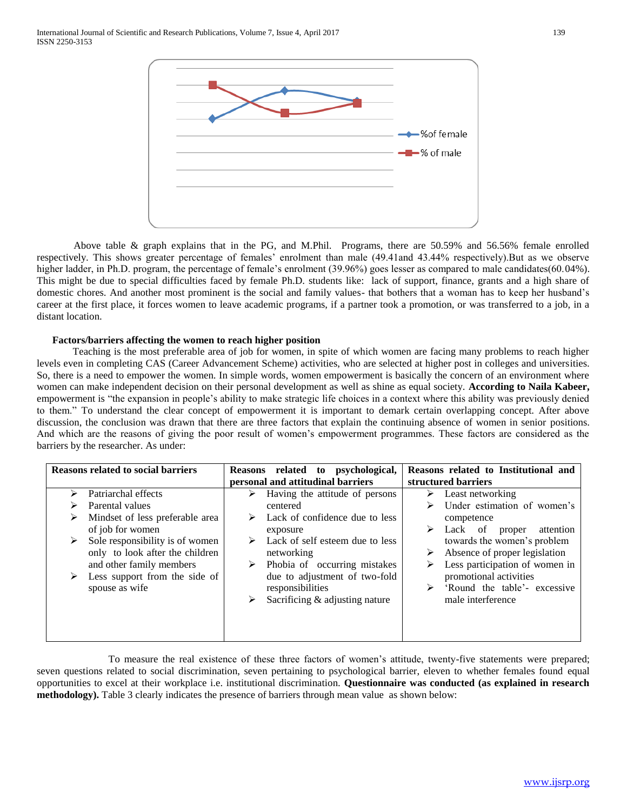

Above table & graph explains that in the PG, and M.Phil. Programs, there are 50.59% and 56.56% female enrolled respectively. This shows greater percentage of females' enrolment than male (49.41and 43.44% respectively).But as we observe higher ladder, in Ph.D. program, the percentage of female's enrolment (39.96%) goes lesser as compared to male candidates(60.04%). This might be due to special difficulties faced by female Ph.D. students like: lack of support, finance, grants and a high share of domestic chores. And another most prominent is the social and family values- that bothers that a woman has to keep her husband's career at the first place, it forces women to leave academic programs, if a partner took a promotion, or was transferred to a job, in a distant location.

#### **Factors/barriers affecting the women to reach higher position**

 Teaching is the most preferable area of job for women, in spite of which women are facing many problems to reach higher levels even in completing CAS (Career Advancement Scheme) activities, who are selected at higher post in colleges and universities. So, there is a need to empower the women. In simple words, women empowerment is basically the concern of an environment where women can make independent decision on their personal development as well as shine as equal society. **According to Naila Kabeer,** empowerment is "the expansion in people's ability to make strategic life choices in a context where this ability was previously denied to them." To understand the clear concept of empowerment it is important to demark certain overlapping concept. After above discussion, the conclusion was drawn that there are three factors that explain the continuing absence of women in senior positions. And which are the reasons of giving the poor result of women's empowerment programmes. These factors are considered as the barriers by the researcher. As under:

| <b>Reasons related to social barriers</b> | Reasons related to psychological,                | Reasons related to Institutional and            |
|-------------------------------------------|--------------------------------------------------|-------------------------------------------------|
|                                           | personal and attitudinal barriers                | structured barriers                             |
| Patriarchal effects<br>➤                  | Having the attitude of persons<br>➤              | $\triangleright$ Least networking               |
| Parental values                           | centered                                         | Under estimation of women's                     |
| Mindset of less preferable area<br>➤      | Lack of confidence due to less                   | competence                                      |
| of job for women                          | exposure                                         | $\triangleright$ Lack of<br>attention<br>proper |
| Sole responsibility is of women           | $\triangleright$ Lack of self esteem due to less | towards the women's problem                     |
| only to look after the children           | networking                                       | Absence of proper legislation<br>➤              |
| and other family members                  | Phobia of occurring mistakes<br>➤                | Less participation of women in<br>➤             |
| Less support from the side of<br>➤        | due to adjustment of two-fold                    | promotional activities                          |
| spouse as wife                            | responsibilities                                 | 'Round the table'- excessive                    |
|                                           | Sacrificing & adjusting nature<br>➤              | male interference                               |
|                                           |                                                  |                                                 |
|                                           |                                                  |                                                 |
|                                           |                                                  |                                                 |

 To measure the real existence of these three factors of women's attitude, twenty-five statements were prepared; seven questions related to social discrimination, seven pertaining to psychological barrier, eleven to whether females found equal opportunities to excel at their workplace i.e. institutional discrimination. **Questionnaire was conducted (as explained in research methodology).** Table 3 clearly indicates the presence of barriers through mean value as shown below: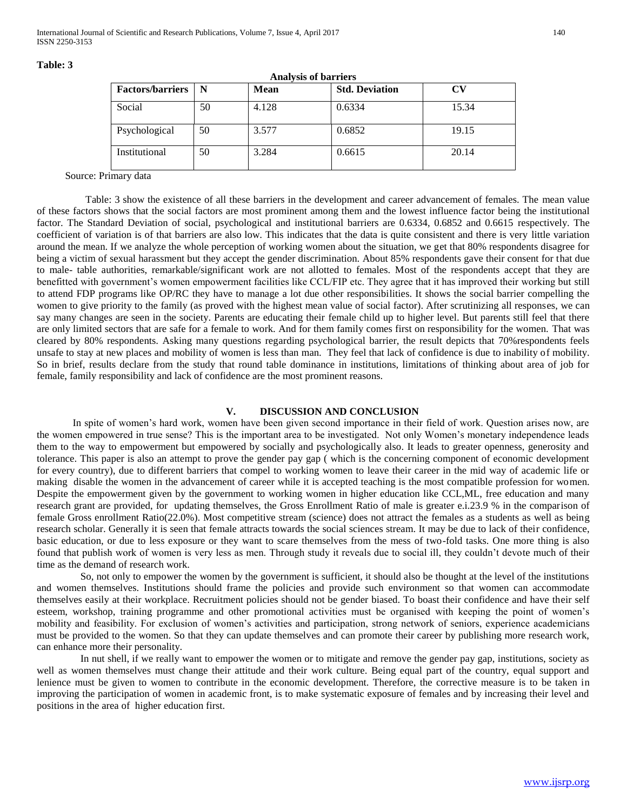| <b>Analysis of barriers</b> |    |       |                       |           |  |
|-----------------------------|----|-------|-----------------------|-----------|--|
| <b>Factors/barriers</b>     | N  | Mean  | <b>Std. Deviation</b> | $\bf{CV}$ |  |
| Social                      | 50 | 4.128 | 0.6334                | 15.34     |  |
| Psychological               | 50 | 3.577 | 0.6852                | 19.15     |  |
| Institutional               | 50 | 3.284 | 0.6615                | 20.14     |  |

#### **Table: 3**

Source: Primary data

 Table: 3 show the existence of all these barriers in the development and career advancement of females. The mean value of these factors shows that the social factors are most prominent among them and the lowest influence factor being the institutional factor. The Standard Deviation of social, psychological and institutional barriers are 0.6334, 0.6852 and 0.6615 respectively. The coefficient of variation is of that barriers are also low. This indicates that the data is quite consistent and there is very little variation around the mean. If we analyze the whole perception of working women about the situation, we get that 80% respondents disagree for being a victim of sexual harassment but they accept the gender discrimination. About 85% respondents gave their consent for that due to male- table authorities, remarkable/significant work are not allotted to females. Most of the respondents accept that they are benefitted with government's women empowerment facilities like CCL/FIP etc. They agree that it has improved their working but still to attend FDP programs like OP/RC they have to manage a lot due other responsibilities. It shows the social barrier compelling the women to give priority to the family (as proved with the highest mean value of social factor). After scrutinizing all responses, we can say many changes are seen in the society. Parents are educating their female child up to higher level. But parents still feel that there are only limited sectors that are safe for a female to work. And for them family comes first on responsibility for the women. That was cleared by 80% respondents. Asking many questions regarding psychological barrier, the result depicts that 70%respondents feels unsafe to stay at new places and mobility of women is less than man. They feel that lack of confidence is due to inability of mobility. So in brief, results declare from the study that round table dominance in institutions, limitations of thinking about area of job for female, family responsibility and lack of confidence are the most prominent reasons.

#### **V. DISCUSSION AND CONCLUSION**

 In spite of women's hard work, women have been given second importance in their field of work. Question arises now, are the women empowered in true sense? This is the important area to be investigated. Not only Women's monetary independence leads them to the way to empowerment but empowered by socially and psychologically also. It leads to greater openness, generosity and tolerance. This paper is also an attempt to prove the gender pay gap ( which is the concerning component of economic development for every country), due to different barriers that compel to working women to leave their career in the mid way of academic life or making disable the women in the advancement of career while it is accepted teaching is the most compatible profession for women. Despite the empowerment given by the government to working women in higher education like CCL,ML, free education and many research grant are provided, for updating themselves, the Gross Enrollment Ratio of male is greater e.i.23.9 % in the comparison of female Gross enrollment Ratio(22.0%). Most competitive stream (science) does not attract the females as a students as well as being research scholar. Generally it is seen that female attracts towards the social sciences stream. It may be due to lack of their confidence, basic education, or due to less exposure or they want to scare themselves from the mess of two-fold tasks. One more thing is also found that publish work of women is very less as men. Through study it reveals due to social ill, they couldn't devote much of their time as the demand of research work.

 So, not only to empower the women by the government is sufficient, it should also be thought at the level of the institutions and women themselves. Institutions should frame the policies and provide such environment so that women can accommodate themselves easily at their workplace. Recruitment policies should not be gender biased. To boast their confidence and have their self esteem, workshop, training programme and other promotional activities must be organised with keeping the point of women's mobility and feasibility. For exclusion of women's activities and participation, strong network of seniors, experience academicians must be provided to the women. So that they can update themselves and can promote their career by publishing more research work, can enhance more their personality.

 In nut shell, if we really want to empower the women or to mitigate and remove the gender pay gap, institutions, society as well as women themselves must change their attitude and their work culture. Being equal part of the country, equal support and lenience must be given to women to contribute in the economic development. Therefore, the corrective measure is to be taken in improving the participation of women in academic front, is to make systematic exposure of females and by increasing their level and positions in the area of higher education first.